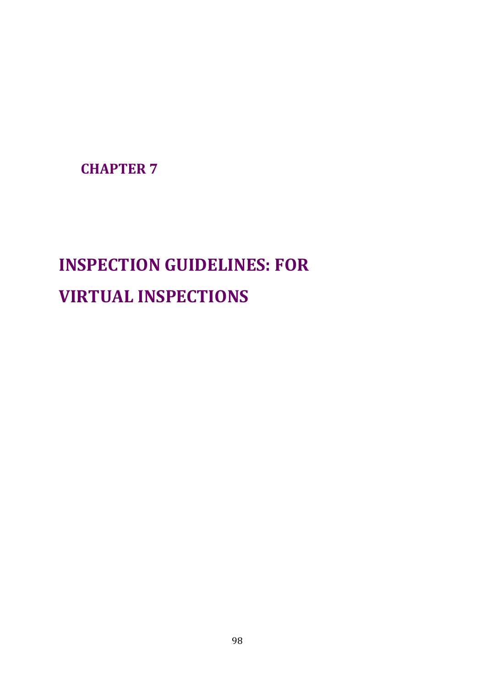**CHAPTER 7**

# **INSPECTION GUIDELINES: FOR VIRTUAL INSPECTIONS**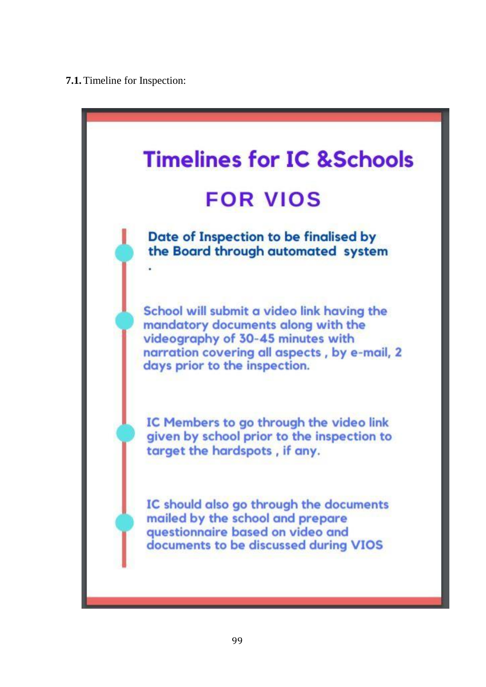### **7.1.** Timeline for Inspection:

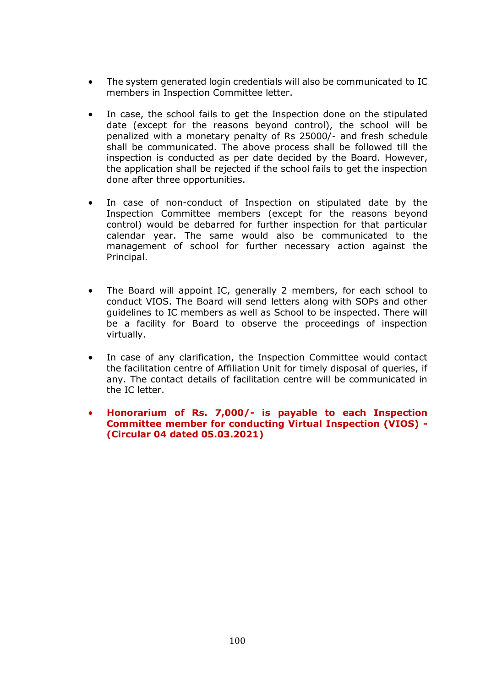- The system generated login credentials will also be communicated to IC members in Inspection Committee letter.
- In case, the school fails to get the Inspection done on the stipulated date (except for the reasons beyond control), the school will be penalized with a monetary penalty of Rs 25000/- and fresh schedule shall be communicated. The above process shall be followed till the inspection is conducted as per date decided by the Board. However, the application shall be rejected if the school fails to get the inspection done after three opportunities.
- In case of non-conduct of Inspection on stipulated date by the Inspection Committee members (except for the reasons beyond control) would be debarred for further inspection for that particular calendar year. The same would also be communicated to the management of school for further necessary action against the Principal.
- The Board will appoint IC, generally 2 members, for each school to conduct VIOS. The Board will send letters along with SOPs and other guidelines to IC members as well as School to be inspected. There will be a facility for Board to observe the proceedings of inspection virtually.
- In case of any clarification, the Inspection Committee would contact the facilitation centre of Affiliation Unit for timely disposal of queries, if any. The contact details of facilitation centre will be communicated in the IC letter.
- **Honorarium of Rs. 7,000/- is payable to each Inspection Committee member for conducting Virtual Inspection (VIOS) - (Circular 04 dated 05.03.2021)**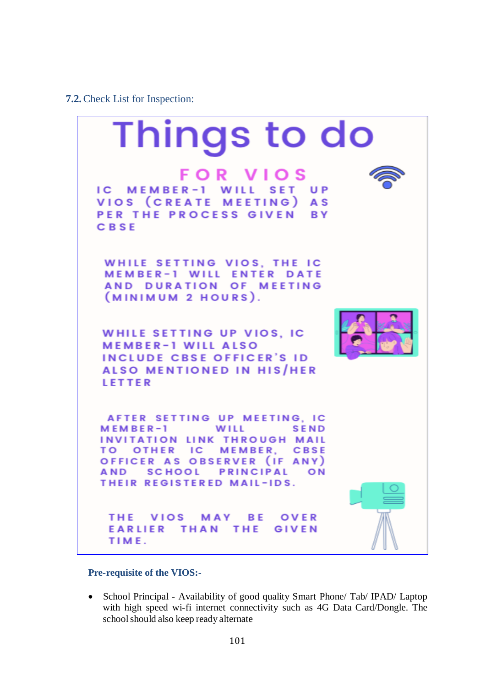

#### **Pre-requisite of the VIOS:-**

 School Principal - Availability of good quality Smart Phone/ Tab/ IPAD/ Laptop with high speed wi-fi internet connectivity such as 4G Data Card/Dongle. The schoolshould also keep ready alternate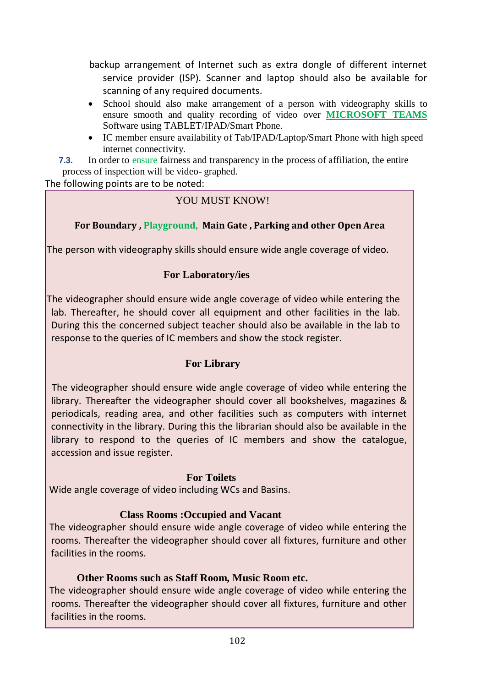backup arrangement of Internet such as extra dongle of different internet service provider (ISP). Scanner and laptop should also be available for scanning of any required documents.

- School should also make arrangement of a person with videography skills to ensure smooth and quality recording of video over **MICROSOFT TEAMS** Software using TABLET/IPAD/Smart Phone.
- IC member ensure availability of Tab/IPAD/Laptop/Smart Phone with high speed internet connectivity.

**7.3.** In order to ensure fairness and transparency in the process of affiliation, the entire process of inspection will be video- graphed.

The following points are to be noted:

### YOU MUST KNOW!

## **For Boundary , Playground, Main Gate , Parking and other Open Area**

The person with videography skills should ensure wide angle coverage of video.

### **For Laboratory/ies**

 The videographer should ensure wide angle coverage of video while entering the lab. Thereafter, he should cover all equipment and other facilities in the lab. During this the concerned subject teacher should also be available in the lab to response to the queries of IC members and show the stock register.

#### **For Library**

 The videographer should ensure wide angle coverage of video while entering the library. Thereafter the videographer should cover all bookshelves, magazines & periodicals, reading area, and other facilities such as computers with internet connectivity in the library. During this the librarian should also be available in the library to respond to the queries of IC members and show the catalogue, accession and issue register.

#### **For Toilets**

Wide angle coverage of video including WCs and Basins.

#### **Class Rooms :Occupied and Vacant**

 The videographer should ensure wide angle coverage of video while entering the rooms. Thereafter the videographer should cover all fixtures, furniture and other facilities in the rooms.

#### **Other Rooms such as Staff Room, Music Room etc.**

 The videographer should ensure wide angle coverage of video while entering the rooms. Thereafter the videographer should cover all fixtures, furniture and other facilities in the rooms.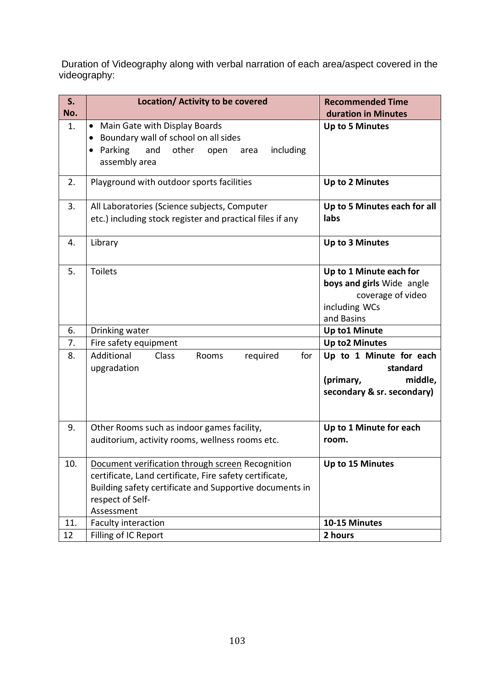Duration of Videography along with verbal narration of each area/aspect covered in the videography:

| S.<br>No. | Location/ Activity to be covered                                                                                                                                                                         | <b>Recommended Time</b><br>duration in Minutes                                                           |
|-----------|----------------------------------------------------------------------------------------------------------------------------------------------------------------------------------------------------------|----------------------------------------------------------------------------------------------------------|
| 1.        | • Main Gate with Display Boards<br>Boundary wall of school on all sides<br>$\bullet$<br>Parking<br>and<br>other<br>including<br>open<br>$\bullet$<br>area<br>assembly area                               | <b>Up to 5 Minutes</b>                                                                                   |
| 2.        | Playground with outdoor sports facilities                                                                                                                                                                | Up to 2 Minutes                                                                                          |
| 3.        | All Laboratories (Science subjects, Computer<br>etc.) including stock register and practical files if any                                                                                                | Up to 5 Minutes each for all<br>labs                                                                     |
| 4.        | Library                                                                                                                                                                                                  | Up to 3 Minutes                                                                                          |
| 5.        | <b>Toilets</b>                                                                                                                                                                                           | Up to 1 Minute each for<br>boys and girls Wide angle<br>coverage of video<br>including WCs<br>and Basins |
| 6.        | Drinking water                                                                                                                                                                                           | Up to1 Minute                                                                                            |
| 7.        | Fire safety equipment                                                                                                                                                                                    | <b>Up to2 Minutes</b>                                                                                    |
| 8.        | Additional<br>Class<br>Rooms<br>required<br>for<br>upgradation                                                                                                                                           | Up to 1 Minute for each<br>standard<br>(primary,<br>middle,<br>secondary & sr. secondary)                |
| 9.        | Other Rooms such as indoor games facility,<br>auditorium, activity rooms, wellness rooms etc.                                                                                                            | Up to 1 Minute for each<br>room.                                                                         |
| 10.       | Document verification through screen Recognition<br>certificate, Land certificate, Fire safety certificate,<br>Building safety certificate and Supportive documents in<br>respect of Self-<br>Assessment | Up to 15 Minutes                                                                                         |
| 11.       | Faculty interaction                                                                                                                                                                                      | 10-15 Minutes                                                                                            |
| 12        | Filling of IC Report                                                                                                                                                                                     | 2 hours                                                                                                  |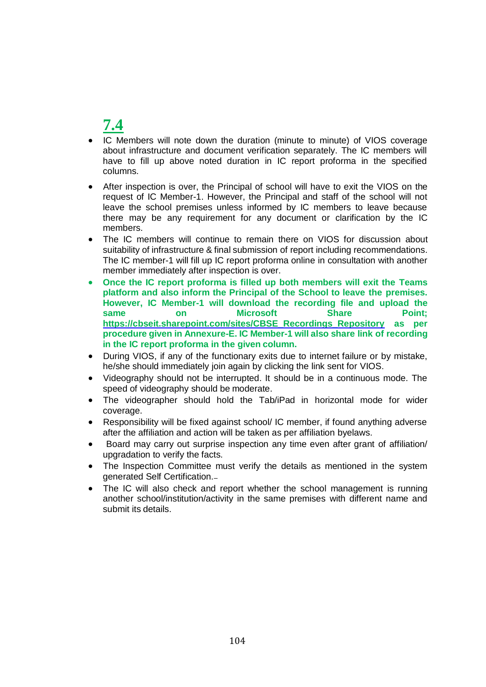# **7.4**

- IC Members will note down the duration (minute to minute) of VIOS coverage about infrastructure and document verification separately. The IC members will have to fill up above noted duration in IC report proforma in the specified columns.
- After inspection is over, the Principal of school will have to exit the VIOS on the request of IC Member-1. However, the Principal and staff of the school will not leave the school premises unless informed by IC members to leave because there may be any requirement for any document or clarification by the IC members.
- The IC members will continue to remain there on VIOS for discussion about suitability of infrastructure & final submission of report including recommendations. The IC member-1 will fill up IC report proforma online in consultation with another member immediately after inspection is over.
- **Once the IC report proforma is filled up both members will exit the Teams platform and also inform the Principal of the School to leave the premises. However, IC Member-1 will download the recording file and upload the same on Microsoft Share Point[;](https://cbseit.sharepoint.com/sites/CBSE_Recordings_Repository) [https://cbseit.sharepoint.com/sites/CBSE\\_Recordings\\_Repository](https://cbseit.sharepoint.com/sites/CBSE_Recordings_Repository) as per procedure given in Annexure-E. IC Member-1 will also share link of recording in the IC report proforma in the given column.**
- During VIOS, if any of the functionary exits due to internet failure or by mistake, he/she should immediately join again by clicking the link sent for VIOS.
- Videography should not be interrupted. It should be in a continuous mode. The speed of videography should be moderate.
- The videographer should hold the Tab/iPad in horizontal mode for wider coverage.
- Responsibility will be fixed against school/ IC member, if found anything adverse after the affiliation and action will be taken as per affiliation byelaws.
- Board may carry out surprise inspection any time even after grant of affiliation/ upgradation to verify the facts.
- The Inspection Committee must verify the details as mentioned in the system generated Self Certification.
- The IC will also check and report whether the school management is running another school/institution/activity in the same premises with different name and submit its details.